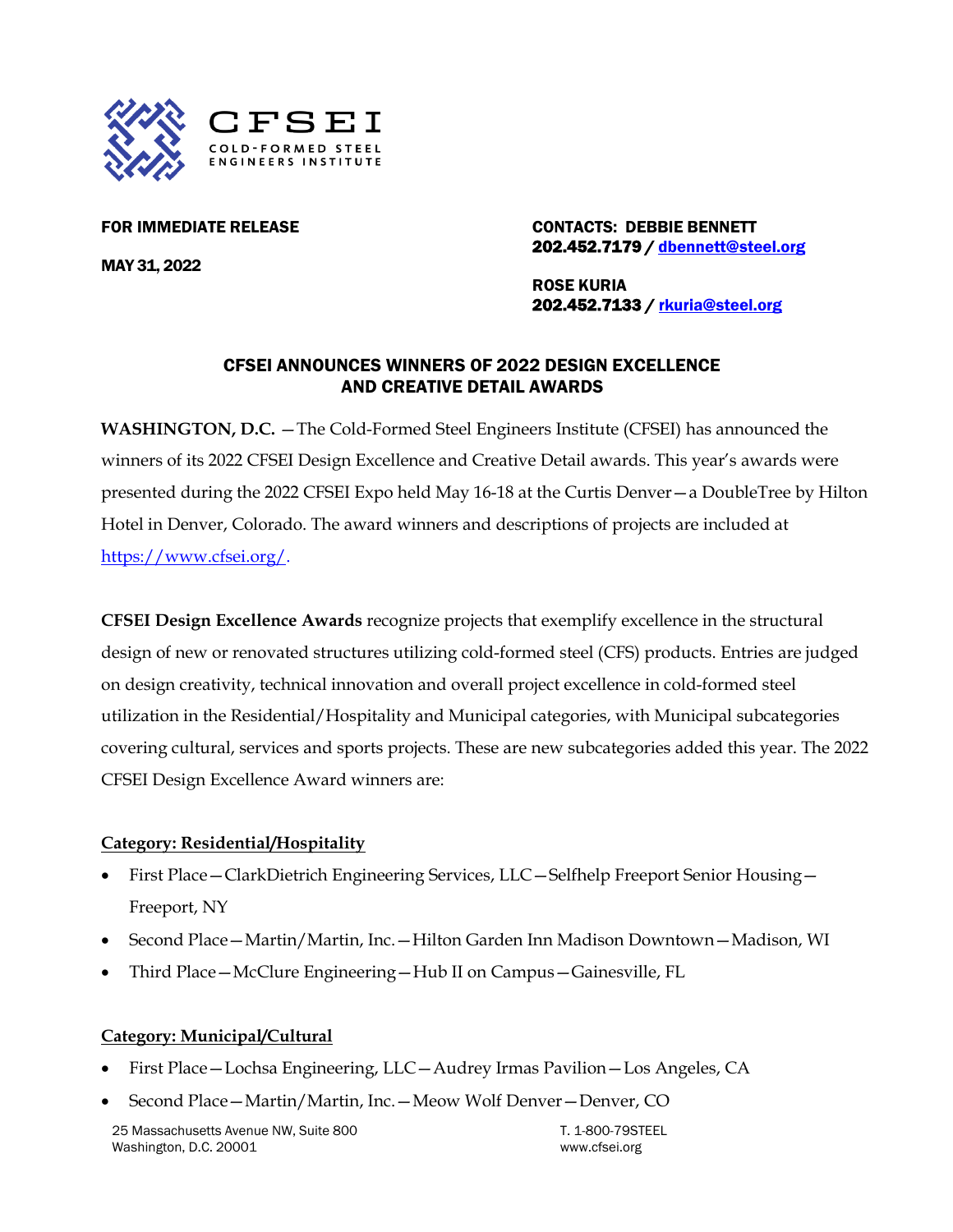

MAY 31, 2022

FOR IMMEDIATE RELEASE CONTACTS: DEBBIE BENNETT 202.452.7179 / [dbennett@steel.org](mailto:dbennett@steel.org) 

> ROSE KURIA 202.452.7133 / [rkuria@steel.org](mailto:rkuria@steel.org)

## CFSEI ANNOUNCES WINNERS OF 2022 DESIGN EXCELLENCE AND CREATIVE DETAIL AWARDS

**WASHINGTON, D.C.** —The Cold-Formed Steel Engineers Institute (CFSEI) has announced the winners of its 2022 CFSEI Design Excellence and Creative Detail awards. This year's awards were presented during the 2022 CFSEI Expo held May 16-18 at the Curtis Denver—a DoubleTree by Hilton Hotel in Denver, Colorado. The award winners and descriptions of projects are included at [https://www.cfsei.org/.](https://www.cfsei.org/)

**CFSEI Design Excellence Awards** recognize projects that exemplify excellence in the structural design of new or renovated structures utilizing cold-formed steel (CFS) products. Entries are judged on design creativity, technical innovation and overall project excellence in cold-formed steel utilization in the Residential/Hospitality and Municipal categories, with Municipal subcategories covering cultural, services and sports projects. These are new subcategories added this year. The 2022 CFSEI Design Excellence Award winners are:

### **Category: Residential/Hospitality**

- First Place—ClarkDietrich Engineering Services, LLC—Selfhelp Freeport Senior Housing— Freeport, NY
- Second Place—Martin/Martin, Inc.—Hilton Garden Inn Madison Downtown—Madison, WI
- Third Place—McClure Engineering—Hub II on Campus—Gainesville, FL

### **Category: Municipal/Cultural**

- First Place—Lochsa Engineering, LLC—Audrey Irmas Pavilion—Los Angeles, CA
- Second Place—Martin/Martin, Inc.—Meow Wolf Denver—Denver, CO

25 Massachusetts Avenue NW, Suite 800 Washington, D.C. 20001

T. 1-800-79STEEL [www.cfsei.org](http://www.cfsei.org/)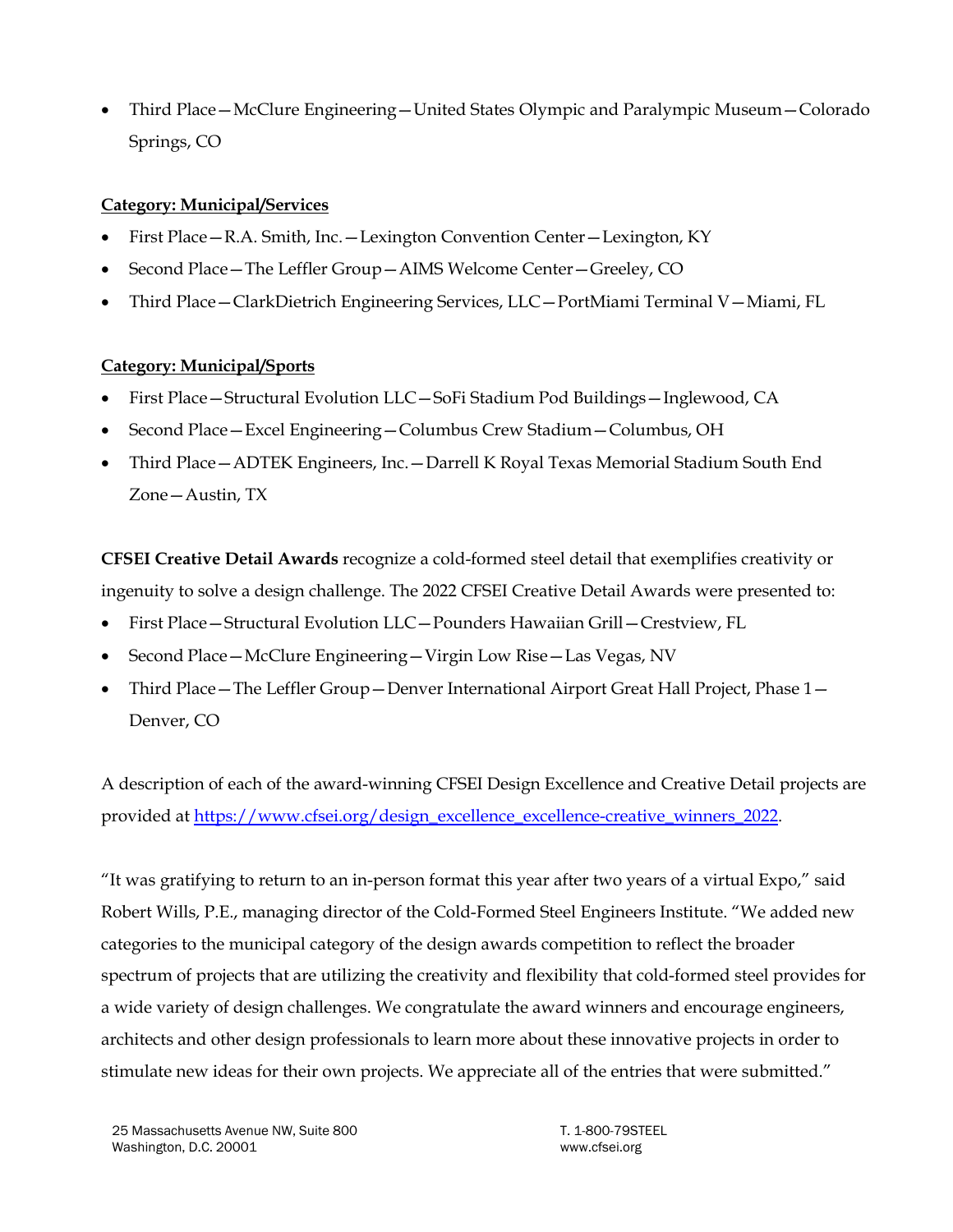• Third Place—McClure Engineering—United States Olympic and Paralympic Museum—Colorado Springs, CO

# **Category: Municipal/Services**

- First Place—R.A. Smith, Inc.—Lexington Convention Center—Lexington, KY
- Second Place—The Leffler Group—AIMS Welcome Center—Greeley, CO
- Third Place—ClarkDietrich Engineering Services, LLC—PortMiami Terminal V—Miami, FL

# **Category: Municipal/Sports**

- First Place—Structural Evolution LLC—SoFi Stadium Pod Buildings—Inglewood, CA
- Second Place—Excel Engineering—Columbus Crew Stadium—Columbus, OH
- Third Place—ADTEK Engineers, Inc.—Darrell K Royal Texas Memorial Stadium South End Zone—Austin, TX

**CFSEI Creative Detail Awards** recognize a cold-formed steel detail that exemplifies creativity or ingenuity to solve a design challenge. The 2022 CFSEI Creative Detail Awards were presented to:

- First Place—Structural Evolution LLC—Pounders Hawaiian Grill—Crestview, FL
- Second Place—McClure Engineering—Virgin Low Rise—Las Vegas, NV
- Third Place—The Leffler Group—Denver International Airport Great Hall Project, Phase 1— Denver, CO

A description of each of the award-winning CFSEI Design Excellence and Creative Detail projects are provided a[t https://www.cfsei.org/design\\_excellence\\_excellence-creative\\_winners\\_2022.](https://www.cfsei.org/design_excellence_excellence-creative_winners_2022)

"It was gratifying to return to an in-person format this year after two years of a virtual Expo," said Robert Wills, P.E., managing director of the Cold-Formed Steel Engineers Institute. "We added new categories to the municipal category of the design awards competition to reflect the broader spectrum of projects that are utilizing the creativity and flexibility that cold-formed steel provides for a wide variety of design challenges. We congratulate the award winners and encourage engineers, architects and other design professionals to learn more about these innovative projects in order to stimulate new ideas for their own projects. We appreciate all of the entries that were submitted."